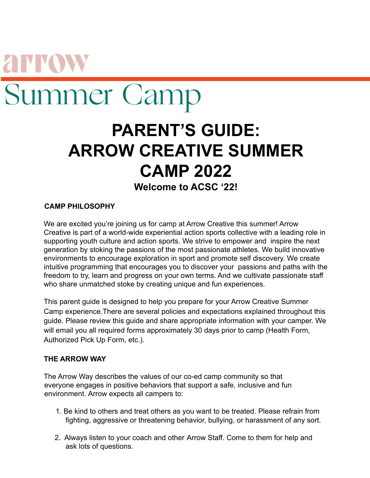# **AINN** Summer Camp

# **PARENT'S GUIDE: ARROW CREATIVE SUMMER CAMP 2022 Welcome to ACSC '22!**

# **CAMP PHILOSOPHY**

We are excited you're joining us for camp at Arrow Creative this summer! Arrow Creative is part of a world-wide experiential action sports collective with a leading role in supporting youth culture and action sports. We strive to empower and inspire the next generation by stoking the passions of the most passionate athletes. We build innovative environments to encourage exploration in sport and promote self discovery. We create intuitive programming that encourages you to discover your passions and paths with the freedom to try, learn and progress on your own terms. And we cultivate passionate staff who share unmatched stoke by creating unique and fun experiences.

This parent guide is designed to help you prepare for your Arrow Creative Summer Camp experience.There are several policies and expectations explained throughout this guide. Please review this guide and share appropriate information with your camper. We will email you all required forms approximately 30 days prior to camp (Health Form, Authorized Pick Up Form, etc.).

# **THE ARROW WAY**

The Arrow Way describes the values of our co-ed camp community so that everyone engages in positive behaviors that support a safe, inclusive and fun environment. Arrow expects all campers to:

- 1. Be kind to others and treat others as you want to be treated. Please refrain from fighting, aggressive or threatening behavior, bullying, or harassment of any sort.
- 2. Always listen to your coach and other Arrow Staff. Come to them for help and ask lots of questions.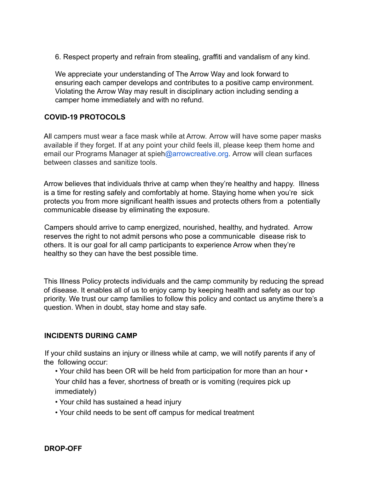6. Respect property and refrain from stealing, graffiti and vandalism of any kind.

We appreciate your understanding of The Arrow Way and look forward to ensuring each camper develops and contributes to a positive camp environment. Violating the Arrow Way may result in disciplinary action including sending a camper home immediately and with no refund.

#### **COVID-19 PROTOCOLS**

All campers must wear a face mask while at Arrow. Arrow will have some paper masks available if they forget. If at any point your child feels ill, please keep them home and email our Programs Manager at spieh@arrowcreative.org. Arrow will clean surfaces between classes and sanitize tools.

Arrow believes that individuals thrive at camp when they're healthy and happy. Illness is a time for resting safely and comfortably at home. Staying home when you're sick protects you from more significant health issues and protects others from a potentially communicable disease by eliminating the exposure.

Campers should arrive to camp energized, nourished, healthy, and hydrated. Arrow reserves the right to not admit persons who pose a communicable disease risk to others. It is our goal for all camp participants to experience Arrow when they're healthy so they can have the best possible time.

This Illness Policy protects individuals and the camp community by reducing the spread of disease. It enables all of us to enjoy camp by keeping health and safety as our top priority. We trust our camp families to follow this policy and contact us anytime there's a question. When in doubt, stay home and stay safe.

#### **INCIDENTS DURING CAMP**

If your child sustains an injury or illness while at camp, we will notify parents if any of the following occur:

- Your child has been OR will be held from participation for more than an hour Your child has a fever, shortness of breath or is vomiting (requires pick up immediately)
- Your child has sustained a head injury
- Your child needs to be sent off campus for medical treatment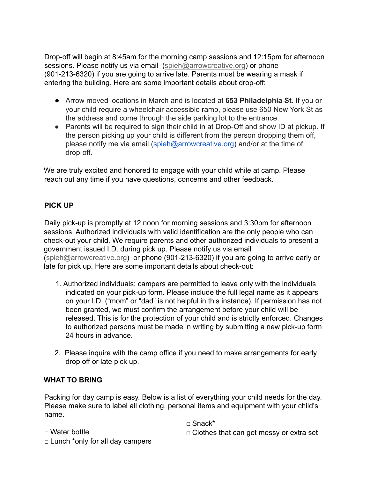Drop-off will begin at 8:45am for the morning camp sessions and 12:15pm for afternoon sessions. Please notify us via email (spieh@arrowcreative.org) or phone (901-213-6320) if you are going to arrive late. Parents must be wearing a mask if entering the building. Here are some important details about drop-off:

- Arrow moved locations in March and is located at **653 Philadelphia St.** If you or your child require a wheelchair accessible ramp, please use 650 New York St as the address and come through the side parking lot to the entrance.
- Parents will be required to sign their child in at Drop-Off and show ID at pickup. If the person picking up your child is different from the person dropping them off, please notify me via email (spieh@arrowcreative.org) and/or at the time of drop-off.

We are truly excited and honored to engage with your child while at camp. Please reach out any time if you have questions, concerns and other feedback.

# **PICK UP**

Daily pick-up is promptly at 12 noon for morning sessions and 3:30pm for afternoon sessions. Authorized individuals with valid identification are the only people who can check-out your child. We require parents and other authorized individuals to present a government issued I.D. during pick up. Please notify us via email (spieh@arrowcreative.org) or phone (901-213-6320) if you are going to arrive early or late for pick up. Here are some important details about check-out:

- 1. Authorized individuals: campers are permitted to leave only with the individuals indicated on your pick-up form. Please include the full legal name as it appears on your I.D. ("mom" or "dad" is not helpful in this instance). If permission has not been granted, we must confirm the arrangement before your child will be released. This is for the protection of your child and is strictly enforced. Changes to authorized persons must be made in writing by submitting a new pick-up form 24 hours in advance.
- 2. Please inquire with the camp office if you need to make arrangements for early drop off or late pick up.

# **WHAT TO BRING**

Packing for day camp is easy. Below is a list of everything your child needs for the day. Please make sure to label all clothing, personal items and equipment with your child's name.

□ Water bottle

□ Snack\*

- $\Box$  Clothes that can get messy or extra set
- $\Box$  Lunch \*only for all day campers